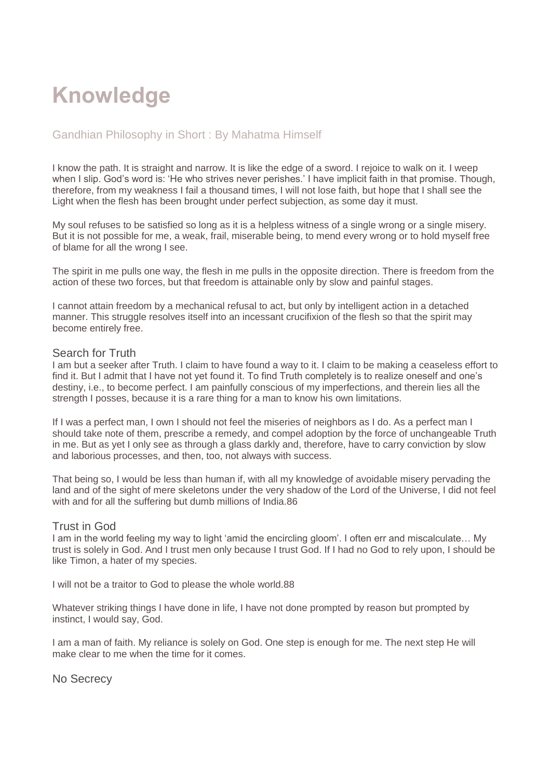# **Knowledge**

# Gandhian Philosophy in Short : By Mahatma Himself

I know the path. It is straight and narrow. It is like the edge of a sword. I rejoice to walk on it. I weep when I slip. God's word is: 'He who strives never perishes.' I have implicit faith in that promise. Though, therefore, from my weakness I fail a thousand times, I will not lose faith, but hope that I shall see the Light when the flesh has been brought under perfect subjection, as some day it must.

My soul refuses to be satisfied so long as it is a helpless witness of a single wrong or a single misery. But it is not possible for me, a weak, frail, miserable being, to mend every wrong or to hold myself free of blame for all the wrong I see.

The spirit in me pulls one way, the flesh in me pulls in the opposite direction. There is freedom from the action of these two forces, but that freedom is attainable only by slow and painful stages.

I cannot attain freedom by a mechanical refusal to act, but only by intelligent action in a detached manner. This struggle resolves itself into an incessant crucifixion of the flesh so that the spirit may become entirely free.

#### Search for Truth

I am but a seeker after Truth. I claim to have found a way to it. I claim to be making a ceaseless effort to find it. But I admit that I have not yet found it. To find Truth completely is to realize oneself and one's destiny, i.e., to become perfect. I am painfully conscious of my imperfections, and therein lies all the strength I posses, because it is a rare thing for a man to know his own limitations.

If I was a perfect man, I own I should not feel the miseries of neighbors as I do. As a perfect man I should take note of them, prescribe a remedy, and compel adoption by the force of unchangeable Truth in me. But as yet I only see as through a glass darkly and, therefore, have to carry conviction by slow and laborious processes, and then, too, not always with success.

That being so, I would be less than human if, with all my knowledge of avoidable misery pervading the land and of the sight of mere skeletons under the very shadow of the Lord of the Universe, I did not feel with and for all the suffering but dumb millions of India.86

#### Trust in God

I am in the world feeling my way to light 'amid the encircling gloom'. I often err and miscalculate… My trust is solely in God. And I trust men only because I trust God. If I had no God to rely upon, I should be like Timon, a hater of my species.

I will not be a traitor to God to please the whole world.88

Whatever striking things I have done in life, I have not done prompted by reason but prompted by instinct, I would say, God.

I am a man of faith. My reliance is solely on God. One step is enough for me. The next step He will make clear to me when the time for it comes.

No Secrecy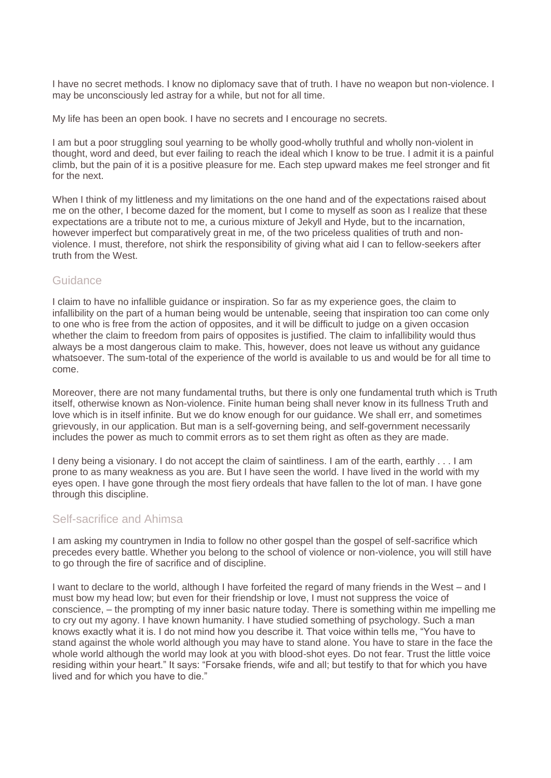I have no secret methods. I know no diplomacy save that of truth. I have no weapon but non-violence. I may be unconsciously led astray for a while, but not for all time.

My life has been an open book. I have no secrets and I encourage no secrets.

I am but a poor struggling soul yearning to be wholly good-wholly truthful and wholly non-violent in thought, word and deed, but ever failing to reach the ideal which I know to be true. I admit it is a painful climb, but the pain of it is a positive pleasure for me. Each step upward makes me feel stronger and fit for the next.

When I think of my littleness and my limitations on the one hand and of the expectations raised about me on the other, I become dazed for the moment, but I come to myself as soon as I realize that these expectations are a tribute not to me, a curious mixture of Jekyll and Hyde, but to the incarnation, however imperfect but comparatively great in me, of the two priceless qualities of truth and nonviolence. I must, therefore, not shirk the responsibility of giving what aid I can to fellow-seekers after truth from the West.

## Guidance

I claim to have no infallible guidance or inspiration. So far as my experience goes, the claim to infallibility on the part of a human being would be untenable, seeing that inspiration too can come only to one who is free from the action of opposites, and it will be difficult to judge on a given occasion whether the claim to freedom from pairs of opposites is justified. The claim to infallibility would thus always be a most dangerous claim to make. This, however, does not leave us without any guidance whatsoever. The sum-total of the experience of the world is available to us and would be for all time to come.

Moreover, there are not many fundamental truths, but there is only one fundamental truth which is Truth itself, otherwise known as Non-violence. Finite human being shall never know in its fullness Truth and love which is in itself infinite. But we do know enough for our guidance. We shall err, and sometimes grievously, in our application. But man is a self-governing being, and self-government necessarily includes the power as much to commit errors as to set them right as often as they are made.

I deny being a visionary. I do not accept the claim of saintliness. I am of the earth, earthly . . . I am prone to as many weakness as you are. But I have seen the world. I have lived in the world with my eyes open. I have gone through the most fiery ordeals that have fallen to the lot of man. I have gone through this discipline.

#### Self-sacrifice and Ahimsa

I am asking my countrymen in India to follow no other gospel than the gospel of self-sacrifice which precedes every battle. Whether you belong to the school of violence or non-violence, you will still have to go through the fire of sacrifice and of discipline.

I want to declare to the world, although I have forfeited the regard of many friends in the West – and I must bow my head low; but even for their friendship or love, I must not suppress the voice of conscience, – the prompting of my inner basic nature today. There is something within me impelling me to cry out my agony. I have known humanity. I have studied something of psychology. Such a man knows exactly what it is. I do not mind how you describe it. That voice within tells me, "You have to stand against the whole world although you may have to stand alone. You have to stare in the face the whole world although the world may look at you with blood-shot eyes. Do not fear. Trust the little voice residing within your heart." It says: "Forsake friends, wife and all; but testify to that for which you have lived and for which you have to die."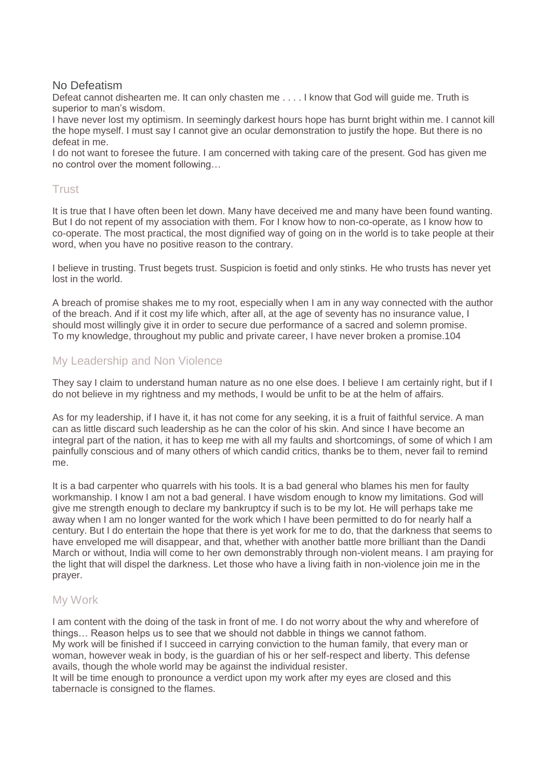#### No Defeatism

Defeat cannot dishearten me. It can only chasten me . . . . I know that God will guide me. Truth is superior to man's wisdom.

I have never lost my optimism. In seemingly darkest hours hope has burnt bright within me. I cannot kill the hope myself. I must say I cannot give an ocular demonstration to justify the hope. But there is no defeat in me.

I do not want to foresee the future. I am concerned with taking care of the present. God has given me no control over the moment following…

## **Trust**

It is true that I have often been let down. Many have deceived me and many have been found wanting. But I do not repent of my association with them. For I know how to non-co-operate, as I know how to co-operate. The most practical, the most dignified way of going on in the world is to take people at their word, when you have no positive reason to the contrary.

I believe in trusting. Trust begets trust. Suspicion is foetid and only stinks. He who trusts has never yet lost in the world.

A breach of promise shakes me to my root, especially when I am in any way connected with the author of the breach. And if it cost my life which, after all, at the age of seventy has no insurance value, I should most willingly give it in order to secure due performance of a sacred and solemn promise. To my knowledge, throughout my public and private career, I have never broken a promise.104

## My Leadership and Non Violence

They say I claim to understand human nature as no one else does. I believe I am certainly right, but if I do not believe in my rightness and my methods, I would be unfit to be at the helm of affairs.

As for my leadership, if I have it, it has not come for any seeking, it is a fruit of faithful service. A man can as little discard such leadership as he can the color of his skin. And since I have become an integral part of the nation, it has to keep me with all my faults and shortcomings, of some of which I am painfully conscious and of many others of which candid critics, thanks be to them, never fail to remind me.

It is a bad carpenter who quarrels with his tools. It is a bad general who blames his men for faulty workmanship. I know I am not a bad general. I have wisdom enough to know my limitations. God will give me strength enough to declare my bankruptcy if such is to be my lot. He will perhaps take me away when I am no longer wanted for the work which I have been permitted to do for nearly half a century. But I do entertain the hope that there is yet work for me to do, that the darkness that seems to have enveloped me will disappear, and that, whether with another battle more brilliant than the Dandi March or without, India will come to her own demonstrably through non-violent means. I am praying for the light that will dispel the darkness. Let those who have a living faith in non-violence join me in the prayer.

## My Work

I am content with the doing of the task in front of me. I do not worry about the why and wherefore of things… Reason helps us to see that we should not dabble in things we cannot fathom. My work will be finished if I succeed in carrying conviction to the human family, that every man or woman, however weak in body, is the guardian of his or her self-respect and liberty. This defense avails, though the whole world may be against the individual resister.

It will be time enough to pronounce a verdict upon my work after my eyes are closed and this tabernacle is consigned to the flames.